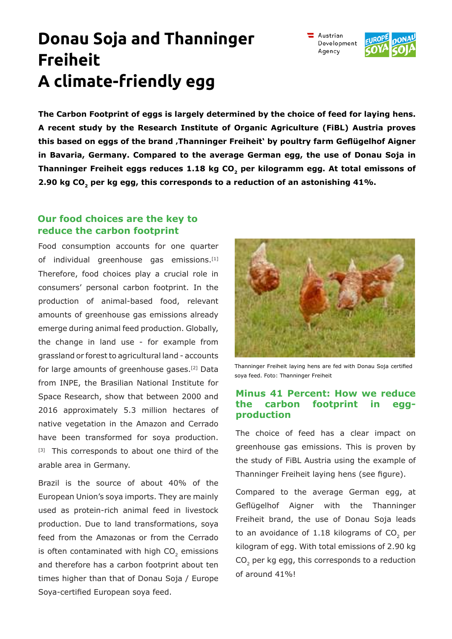# **Donau Soja and Thanninger Freiheit A climate-friendly egg**

**The Carbon Footprint of eggs is largely determined by the choice of feed for laying hens. A recent study by the Research Institute of Organic Agriculture (FiBL) Austria proves this based on eggs of the brand 'Thanninger Freiheit' by poultry farm Geflügelhof Aigner in Bavaria, Germany. Compared to the average German egg, the use of Donau Soja in Thanninger Freiheit eggs reduces 1.18 kg CO<sup>2</sup> per kilogramm egg. At total emissons of 2.90 kg CO<sup>2</sup> per kg egg, this corresponds to a reduction of an astonishing 41%.**

## **Our food choices are the key to reduce the carbon footprint**

Food consumption accounts for one quarter of individual greenhouse gas emissions.<sup>[1]</sup> Therefore, food choices play a crucial role in consumers' personal carbon footprint. In the production of animal-based food, relevant amounts of greenhouse gas emissions already emerge during animal feed production. Globally, the change in land use - for example from grassland or forest to agricultural land - accounts for large amounts of greenhouse gases.[2] Data from INPE, the Brasilian National Institute for Space Research, show that between 2000 and 2016 approximately 5.3 million hectares of native vegetation in the Amazon and Cerrado have been transformed for soya production. [3] This corresponds to about one third of the arable area in Germany.

Brazil is the source of about 40% of the European Union's soya imports. They are mainly used as protein-rich animal feed in livestock production. Due to land transformations, soya feed from the Amazonas or from the Cerrado is often contaminated with high CO<sub>2</sub> emissions and therefore has a carbon footprint about ten times higher than that of Donau Soja / Europe Soya-certified European soya feed.



soya feed. Foto: Thanninger Freiheit

## **Minus 41 Percent: How we reduce the carbon footprint in eggproduction**

The choice of feed has a clear impact on greenhouse gas emissions. This is proven by the study of FiBL Austria using the example of Thanninger Freiheit laying hens (see figure).

Compared to the average German egg, at Geflügelhof Aigner with the Thanninger Freiheit brand, the use of Donau Soja leads to an avoidance of 1.18 kilograms of CO<sub>2</sub> per kilogram of egg. With total emissions of 2.90 kg  $CO_2$  per kg egg, this corresponds to a reduction of around 41%!





Austrian Development Agency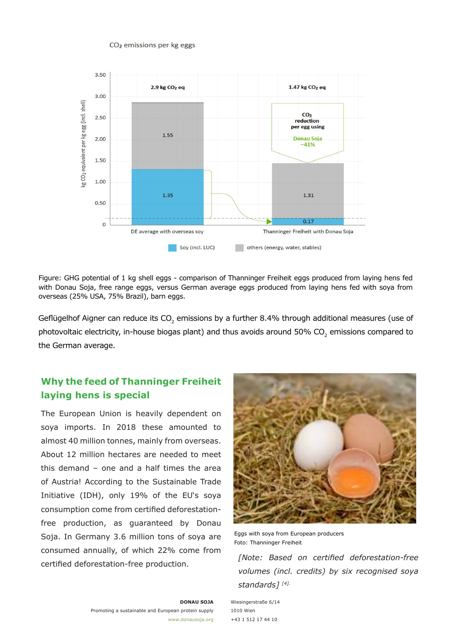#### CO<sub>2</sub> emissions per kg eggs



Figure: GHG potential of 1 kg shell eggs - comparison of Thanninger Freiheit eggs produced from laying hens fed with Donau Soja, free range eggs, versus German average eggs produced from laying hens fed with soya from overseas (25% USA, 75% Brazil), barn eggs.

Geflügelhof Aigner can reduce its CO<sub>2</sub> emissions by a further 8.4% through additional measures (use of photovoltaic electricity, in-house biogas plant) and thus avoids around 50% CO<sub>2</sub> emissions compared to the German average.

# **Why the feed of Thanninger Freiheit laying hens is special**

The European Union is heavily dependent on soya imports. In 2018 these amounted to almost 40 million tonnes, mainly from overseas. About 12 million hectares are needed to meet this demand – one and a half times the area of Austria! According to the Sustainable Trade Initiative (IDH), only 19% of the EU's soya consumption come from certified deforestationfree production, as guaranteed by Donau Soja. In Germany 3.6 million tons of soya are consumed annually, of which 22% come from certified deforestation-free production.



Eggs with soya from European producers Foto: Thanninger Freiheit

*[Note: Based on certified deforestation-free volumes (incl. credits) by six recognised soya standards] [4].*

**DONAU SOJA** Promoting a sustainable and European protein supply www.donausoja.org Wiesingerstraße 6/14 1010 Wien +43 1 512 17 44 10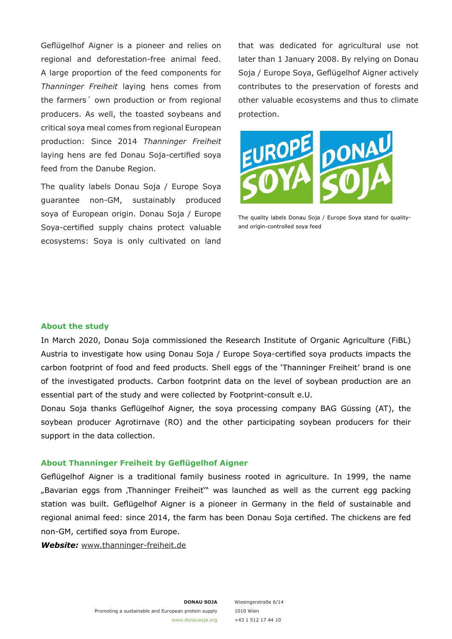Geflügelhof Aigner is a pioneer and relies on regional and deforestation-free animal feed. A large proportion of the feed components for *Thanninger Freiheit* laying hens comes from the farmers´ own production or from regional producers. As well, the toasted soybeans and critical soya meal comes from regional European production: Since 2014 *Thanninger Freiheit* laying hens are fed Donau Soja-certified soya feed from the Danube Region.

The quality labels Donau Soja / Europe Soya guarantee non-GM, sustainably produced soya of European origin. Donau Soja / Europe Soya-certified supply chains protect valuable ecosystems: Soya is only cultivated on land that was dedicated for agricultural use not later than 1 January 2008. By relying on Donau Soja / Europe Soya, Geflügelhof Aigner actively contributes to the preservation of forests and other valuable ecosystems and thus to climate protection.



The quality labels Donau Soja / Europe Soya stand for qualityand origin-controlled soya feed

#### **About the study**

In March 2020, Donau Soja commissioned the Research Institute of Organic Agriculture (FiBL) Austria to investigate how using Donau Soja / Europe Soya-certified soya products impacts the carbon footprint of food and feed products. Shell eggs of the 'Thanninger Freiheit' brand is one of the investigated products. Carbon footprint data on the level of soybean production are an essential part of the study and were collected by Footprint-consult e.U.

Donau Soja thanks Geflügelhof Aigner, the soya processing company BAG Güssing (AT), the soybean producer Agrotirnave (RO) and the other participating soybean producers for their support in the data collection.

#### **About Thanninger Freiheit by Geflügelhof Aigner**

Geflügelhof Aigner is a traditional family business rooted in agriculture. In 1999, the name "Bavarian eggs from ,Thanninger Freiheit" was launched as well as the current egg packing station was built. Geflügelhof Aigner is a pioneer in Germany in the field of sustainable and regional animal feed: since 2014, the farm has been Donau Soja certified. The chickens are fed non-GM, certified soya from Europe.

*Website:* www.thanninger-freiheit.de

Wiesingerstraße 6/14 1010 Wien +43 1 512 17 44 10